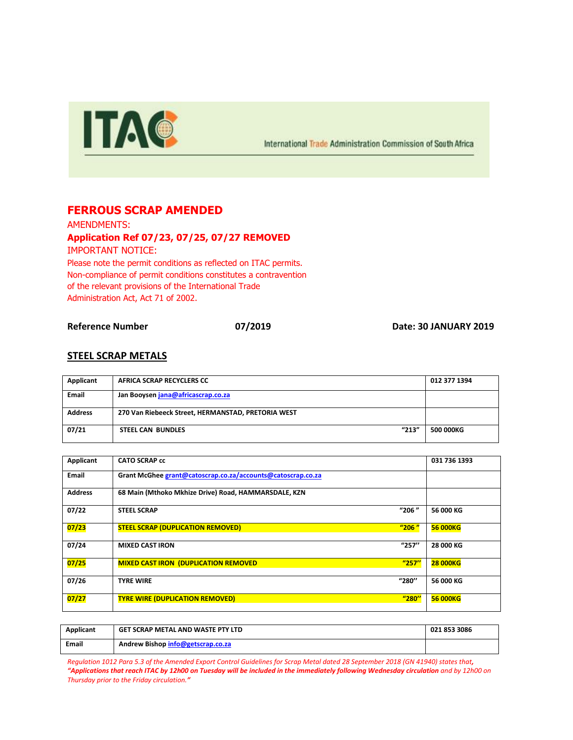

International Trade Administration Commission of South Africa

## **FERROUS SCRAP AMENDED**

AMENDMENTS: **Application Ref 07/23, 07/25, 07/27 REMOVED**

IMPORTANT NOTICE:

Please note the permit conditions as reflected on ITAC permits. Non-compliance of permit conditions constitutes a contravention of the relevant provisions of the International Trade Administration Act, Act 71 of 2002.

**Reference Number 07/2019 Date: 30 JANUARY 2019**

## **STEEL SCRAP METALS**

| Applicant      | AFRICA SCRAP RECYCLERS CC                          | 012 377 1394     |
|----------------|----------------------------------------------------|------------------|
| <b>Email</b>   | Jan Booysen jana@africascrap.co.za                 |                  |
| <b>Address</b> | 270 Van Riebeeck Street, HERMANSTAD, PRETORIA WEST |                  |
| 07/21          | "213"<br><b>STEEL CAN BUNDLES</b>                  | <b>500 000KG</b> |

| Applicant      | <b>CATO SCRAP cc</b>                                        |       | 031 736 1393    |
|----------------|-------------------------------------------------------------|-------|-----------------|
| Email          | Grant McGhee grant@catoscrap.co.za/accounts@catoscrap.co.za |       |                 |
| <b>Address</b> | 68 Main (Mthoko Mkhize Drive) Road, HAMMARSDALE, KZN        |       |                 |
| 07/22          | <b>STEEL SCRAP</b>                                          | "206" | 56 000 KG       |
| 07/23          | <b>STEEL SCRAP (DUPLICATION REMOVED)</b>                    | "206" | <b>56 000KG</b> |
| 07/24          | <b>MIXED CAST IRON</b>                                      | "257" | 28 000 KG       |
| 07/25          | <b>MIXED CAST IRON (DUPLICATION REMOVED)</b>                | "257" | <b>28 000KG</b> |
| 07/26          | <b>TYRE WIRE</b>                                            | "280" | 56 000 KG       |
| 07/27          | <b>TYRE WIRE (DUPLICATION REMOVED)</b>                      | "280" | <b>56 000KG</b> |

| Applicant    | GET SCRAP METAL AND WASTE PTY LTD | 021 853 3086 |
|--------------|-----------------------------------|--------------|
| <b>Email</b> | Andrew Bishop info@getscrap.co.za |              |

*Regulation 1012 Para 5.3 of the Amended Export Control Guidelines for Scrap Metal dated 28 September 2018 (GN 41940) states that, "Applications that reach ITAC by 12h00 on Tuesday will be included in the immediately following Wednesday circulation and by 12h00 on Thursday prior to the Friday circulation."*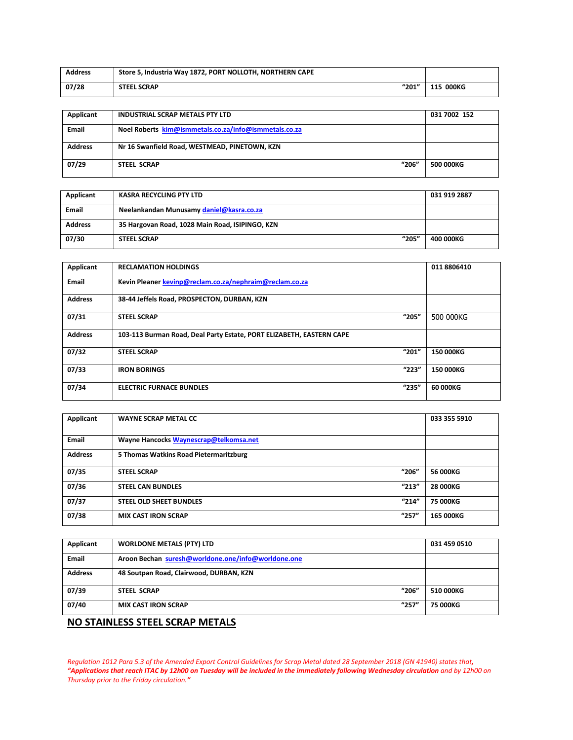| <b>Address</b> | Store 5, Industria Way 1872, PORT NOLLOTH, NORTHERN CAPE |           |
|----------------|----------------------------------------------------------|-----------|
| 07/28          | "201"<br><b>STEEL SCRAP</b>                              | 115 000KG |

| Applicant      | <b>INDUSTRIAL SCRAP METALS PTY LTD</b>                | 031 7002 152 |
|----------------|-------------------------------------------------------|--------------|
| Email          | Noel Roberts kim@ismmetals.co.za/info@ismmetals.co.za |              |
| <b>Address</b> | Nr 16 Swanfield Road, WESTMEAD, PINETOWN, KZN         |              |
| 07/29          | "206"<br><b>STEEL SCRAP</b>                           | 500 000KG    |

| Applicant      | KASRA RECYCLING PTY LTD                         | 031 919 2887 |
|----------------|-------------------------------------------------|--------------|
| <b>Email</b>   | Neelankandan Munusamy daniel@kasra.co.za        |              |
| <b>Address</b> | 35 Hargovan Road, 1028 Main Road, ISIPINGO, KZN |              |
| 07/30          | "205"<br><b>STEEL SCRAP</b>                     | 400 000KG    |

| <b>RECLAMATION HOLDINGS</b>                                          |       | 0118806410 |
|----------------------------------------------------------------------|-------|------------|
| Kevin Pleaner kevinp@reclam.co.za/nephraim@reclam.co.za              |       |            |
| 38-44 Jeffels Road, PROSPECTON, DURBAN, KZN                          |       |            |
| <b>STEEL SCRAP</b>                                                   | "205" | 500 000KG  |
| 103-113 Burman Road, Deal Party Estate, PORT ELIZABETH, EASTERN CAPE |       |            |
| <b>STEEL SCRAP</b>                                                   | "201" | 150 000KG  |
| <b>IRON BORINGS</b>                                                  | "223" | 150 000KG  |
| <b>ELECTRIC FURNACE BUNDLES</b>                                      | "235" | 60 000KG   |
|                                                                      |       |            |

| Applicant      | <b>WAYNE SCRAP METAL CC</b>            |       | 033 355 5910 |
|----------------|----------------------------------------|-------|--------------|
| <b>Email</b>   | Wayne Hancocks Waynescrap@telkomsa.net |       |              |
| <b>Address</b> | 5 Thomas Watkins Road Pietermaritzburg |       |              |
| 07/35          | <b>STEEL SCRAP</b>                     | "206" | 56 000KG     |
| 07/36          | <b>STEEL CAN BUNDLES</b>               | "213" | 28 000KG     |
| 07/37          | <b>STEEL OLD SHEET BUNDLES</b>         | "214" | 75 000KG     |
| 07/38          | <b>MIX CAST IRON SCRAP</b>             | "257" | 165 000KG    |

| Applicant                       | <b>WORLDONE METALS (PTY) LTD</b>                   |       | 031 459 0510 |
|---------------------------------|----------------------------------------------------|-------|--------------|
|                                 |                                                    |       |              |
| Email                           | Aroon Bechan suresh@worldone.one/info@worldone.one |       |              |
|                                 |                                                    |       |              |
| <b>Address</b>                  | 48 Soutpan Road, Clairwood, DURBAN, KZN            |       |              |
|                                 |                                                    |       |              |
| 07/39                           | <b>STEEL SCRAP</b>                                 | "206" | 510 000KG    |
|                                 |                                                    |       |              |
| 07/40                           | <b>MIX CAST IRON SCRAP</b>                         | "257" | 75 000KG     |
|                                 |                                                    |       |              |
|                                 |                                                    |       |              |
| NO STAINLESS STEEL SCRAP METALS |                                                    |       |              |

*Regulation 1012 Para 5.3 of the Amended Export Control Guidelines for Scrap Metal dated 28 September 2018 (GN 41940) states that, "Applications that reach ITAC by 12h00 on Tuesday will be included in the immediately following Wednesday circulation and by 12h00 on Thursday prior to the Friday circulation."*